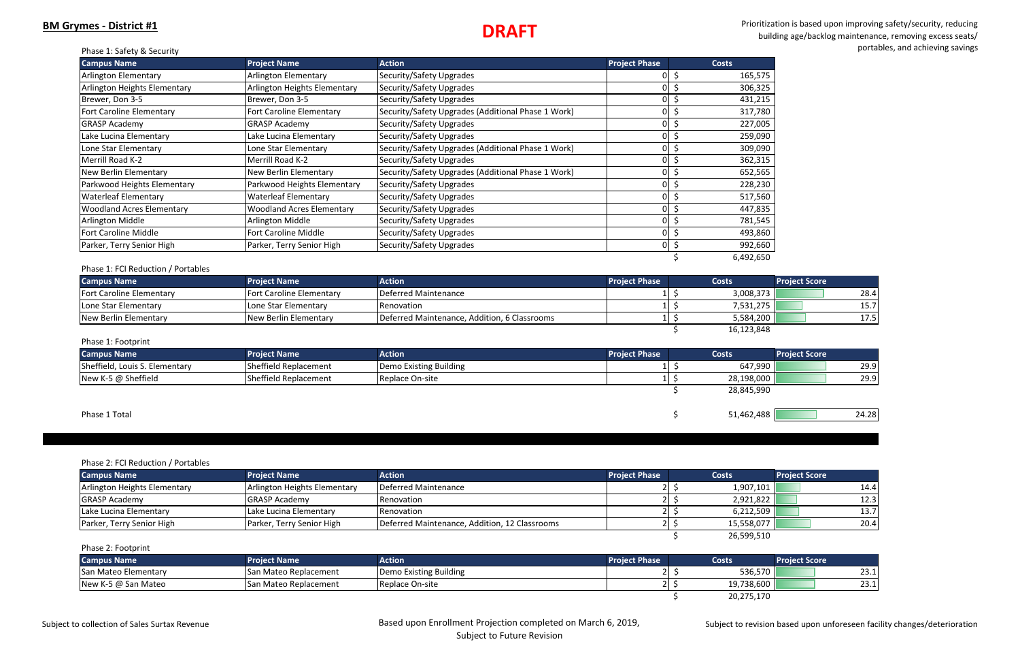# Prioritization is based upon improving safety/security, reducing building age/backlog maintenance, removing excess seats/ portables, and achieving savings

|  |  |  |  | Phase 1: Safety & Security |
|--|--|--|--|----------------------------|
|--|--|--|--|----------------------------|

| <b>Campus Name</b>               | <b>Project Name</b>              | <b>Action</b>                                      | <b>Project Phase</b> | <b>Costs</b> |
|----------------------------------|----------------------------------|----------------------------------------------------|----------------------|--------------|
| Arlington Elementary             | <b>Arlington Elementary</b>      | Security/Safety Upgrades                           |                      | 165,575      |
| Arlington Heights Elementary     | Arlington Heights Elementary     | Security/Safety Upgrades                           |                      | 306,325      |
| Brewer, Don 3-5                  | Brewer, Don 3-5                  | Security/Safety Upgrades                           |                      | 431,215      |
| <b>Fort Caroline Elementary</b>  | Fort Caroline Elementary         | Security/Safety Upgrades (Additional Phase 1 Work) |                      | 317,780      |
| <b>GRASP Academy</b>             | <b>GRASP Academy</b>             | Security/Safety Upgrades                           | 0                    | 227,005      |
| Lake Lucina Elementary           | Lake Lucina Elementary           | Security/Safety Upgrades                           | 0                    | 259,090      |
| Lone Star Elementary             | Lone Star Elementary             | Security/Safety Upgrades (Additional Phase 1 Work) |                      | 309,090      |
| Merrill Road K-2                 | Merrill Road K-2                 | Security/Safety Upgrades                           | 0                    | 362,315      |
| <b>New Berlin Elementary</b>     | New Berlin Elementary            | Security/Safety Upgrades (Additional Phase 1 Work) | 0                    | 652,565      |
| Parkwood Heights Elementary      | Parkwood Heights Elementary      | Security/Safety Upgrades                           | 0                    | 228,230      |
| <b>Waterleaf Elementary</b>      | <b>Waterleaf Elementary</b>      | Security/Safety Upgrades                           | $\Omega$             | 517,560      |
| <b>Woodland Acres Elementary</b> | <b>Woodland Acres Elementary</b> | Security/Safety Upgrades                           |                      | 447,835      |
| Arlington Middle                 | Arlington Middle                 | Security/Safety Upgrades                           | $\Omega$             | 781,545      |
| <b>Fort Caroline Middle</b>      | <b>Fort Caroline Middle</b>      | Security/Safety Upgrades                           |                      | 493,860      |
| Parker, Terry Senior High        | Parker, Terry Senior High        | Security/Safety Upgrades                           | 01                   | 992,660      |
|                                  |                                  |                                                    |                      | 6,492,650    |

### Phase 1: FCI Reduction / Portables

| <b>Campus Name</b>              | <b>Project Name</b>           | <b>Action</b>                                | <b>Project Phase</b> | <b>Costs</b> | <b>Project Score</b> |
|---------------------------------|-------------------------------|----------------------------------------------|----------------------|--------------|----------------------|
| <b>Fort Caroline Elementary</b> | Fort Caroline Elementary      | <b>IDeferred Maintenance</b>                 |                      | 3,008,373    | 28.4                 |
| Lone Star Elementary            | ILone Star Elementarv         | Renovation                                   |                      | 7,531,275    | 1 J.J                |
| New Berlin Elementary           | <b>INew Berlin Elementary</b> | Deferred Maintenance, Addition, 6 Classrooms |                      | 5,584,200    | 17.5                 |

## $\frac{16,123,848}{1}$

| Phase 1: Footprint             |                       |                        |                      |              |                      |       |
|--------------------------------|-----------------------|------------------------|----------------------|--------------|----------------------|-------|
| <b>Campus Name</b>             | <b>Project Name</b>   | <b>Action</b>          | <b>Project Phase</b> | <b>Costs</b> | <b>Project Score</b> |       |
| Sheffield, Louis S. Elementary | Sheffield Replacement | Demo Existing Building |                      | 647,990      |                      | 29.9  |
| New K-5 @ Sheffield            | Sheffield Replacement | Replace On-site        |                      | 28,198,000   |                      | 29.9  |
|                                |                       |                        |                      | 28,845,990   |                      |       |
| Phase 1 Total                  |                       |                        |                      | 51,462,488   |                      | 24.28 |

### Phase 2: FCI Reduction / Portables

| <b>Campus Name</b>           | <b>Project Name</b>          | <b>Action</b>                                 | <b>Project Phase</b> | <b>Costs</b> | <b>Project Score</b> |      |
|------------------------------|------------------------------|-----------------------------------------------|----------------------|--------------|----------------------|------|
| Arlington Heights Elementary | Arlington Heights Elementary | Deferred Maintenance                          |                      | 1,907,101    |                      | 14.4 |
| <b>GRASP Academy</b>         | <b>GRASP Academy</b>         | <b>Renovation</b>                             |                      | 2,921,822    |                      | 12.3 |
| Lake Lucina Elementary       | Lake Lucina Elementary       | <b>Renovation</b>                             |                      | 6,212,509    |                      | 13.7 |
| Parker, Terry Senior High    | Parker, Terry Senior High    | Deferred Maintenance, Addition, 12 Classrooms |                      | 15,558,077   |                      | 20.4 |
|                              |                              |                                               |                      | 26,599,510   |                      |      |

| <b>Campus Name</b>   | <b>Project Name</b>           | Action                 | <b>Project Phase</b> | <b>Costs</b> | <b>Project Score</b> |
|----------------------|-------------------------------|------------------------|----------------------|--------------|----------------------|
| San Mateo Elementary | San Mateo Replacement         | Demo Existing Building |                      | 536,570      | ּ רר<br>ا…ت ک        |
| New K-5 @ San Mateo  | <b>ISan Mateo Replacement</b> | <b>Replace On-site</b> |                      | 19,738,600   | າາ 1<br>ا…ت ک        |
|                      |                               |                        |                      | 20.275.170   |                      |

Subject to revision based upon unforeseen facility changes/deterioration